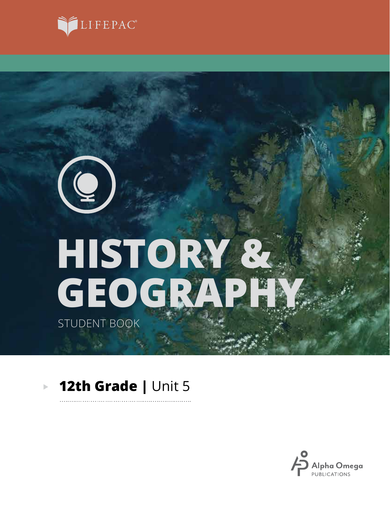

# **GEOGRAPHY HISTORY &**

STUDENT BOOK

 $\left( \begin{matrix} \mathbf{Q} \end{matrix} \right)$ 

### **12th Grade |** Unit 5 $\mathbb{R}^2$

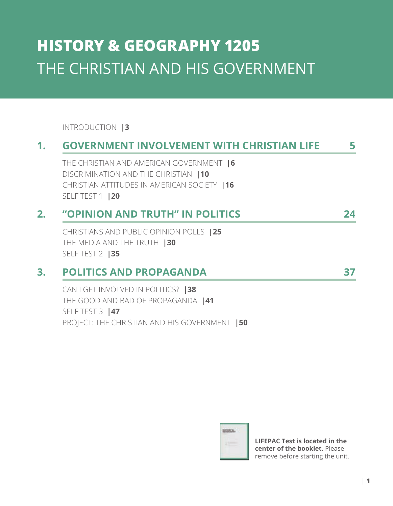# **HISTORY & GEOGRAPHY 1205** THE CHRISTIAN AND HIS GOVERNMENT

### INTRODUCTION **|3**

# **1. GOVERNMENT INVOLVEMENT WITH CHRISTIAN LIFE 5**

THE CHRISTIAN AND AMERICAN GOVERNMENT **|6** DISCRIMINATION AND THE CHRISTIAN **|10** CHRISTIAN ATTITUDES IN AMERICAN SOCIETY **|16** SELF TEST 1 **|20**

## **2. "OPINION AND TRUTH" IN POLITICS 24**

CHRISTIANS AND PUBLIC OPINION POLLS **|25** THE MEDIA AND THE TRUTH **|30** SELF TEST 2 **|35**

### **3. POLITICS AND PROPAGANDA 37**

CAN I GET INVOLVED IN POLITICS? **|38** THE GOOD AND BAD OF PROPAGANDA **|41** SELF TEST 3 **|47** PROJECT: THE CHRISTIAN AND HIS GOVERNMENT **|50**

HORIZA.

**LIFEPAC Test is located in the center of the booklet.** Please remove before starting the unit.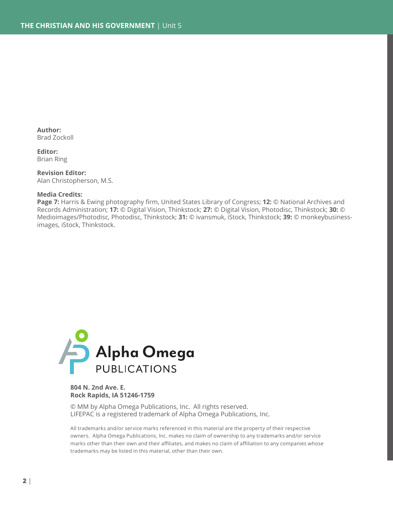**Author:** Brad Zockoll

**Editor:** Brian Ring

**Revision Editor:** Alan Christopherson, M.S.

#### **Media Credits:**

**Page 7:** Harris & Ewing photography firm, United States Library of Congress; **12:** © National Archives and Records Administration; **17:** © Digital Vision, Thinkstock; **27:** © Digital Vision, Photodisc, Thinkstock; **30:** © Medioimages/Photodisc, Photodisc, Thinkstock; **31:** © ivansmuk, iStock, Thinkstock; **39:** © monkeybusinessimages, iStock, Thinkstock.



#### **804 N. 2nd Ave. E. Rock Rapids, IA 51246-1759**

© MM by Alpha Omega Publications, Inc. All rights reserved. LIFEPAC is a registered trademark of Alpha Omega Publications, Inc.

All trademarks and/or service marks referenced in this material are the property of their respective owners. Alpha Omega Publications, Inc. makes no claim of ownership to any trademarks and/or service marks other than their own and their affiliates, and makes no claim of affiliation to any companies whose trademarks may be listed in this material, other than their own.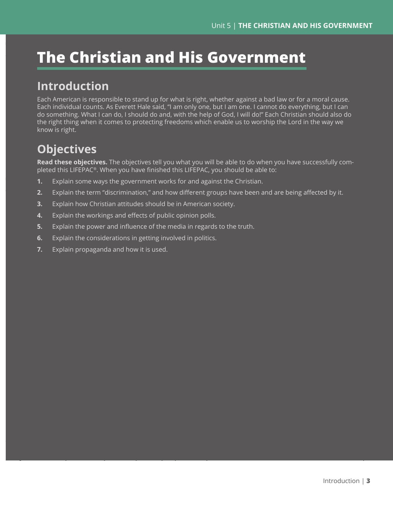# **The Christian and His Government**

# **Introduction**

Each American is responsible to stand up for what is right, whether against a bad law or for a moral cause. Each individual counts. As Everett Hale said, "I am only one, but I am one. I cannot do everything, but I can do something. What I can do, I should do and, with the help of God, I will do!" Each Christian should also do the right thing when it comes to protecting freedoms which enable us to worship the Lord in the way we know is right.

# **Objectives**

**Read these objectives.** The objectives tell you what you will be able to do when you have successfully completed this LIFEPAC®. When you have finished this LIFEPAC, you should be able to:

- **1.** Explain some ways the government works for and against the Christian.
- **2.** Explain the term "discrimination," and how different groups have been and are being affected by it.
- **3.** Explain how Christian attitudes should be in American society.
- **4.** Explain the workings and effects of public opinion polls.
- **5.** Explain the power and influence of the media in regards to the truth.
- **6.** Explain the considerations in getting involved in politics.
- **7.** Explain propaganda and how it is used.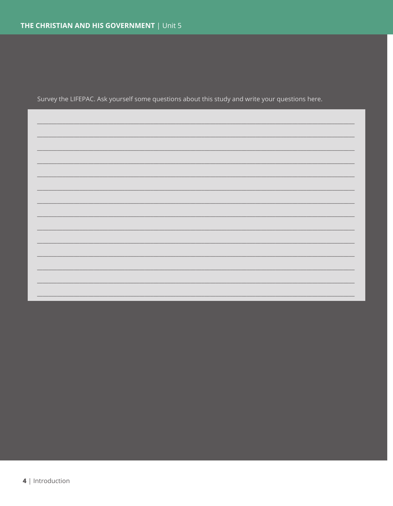Survey the LIFEPAC. Ask yourself some questions about this study and write your questions here.

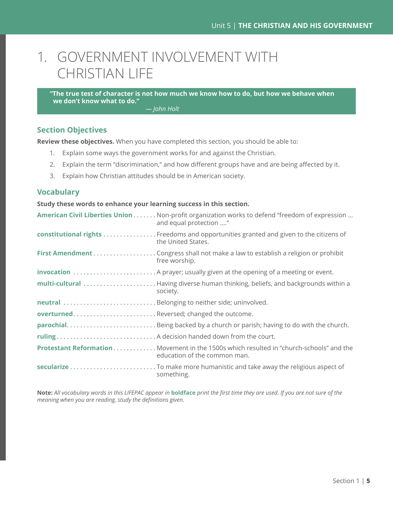# 1. GOVERNMENT INVOLVEMENT WITH CHRISTIAN LIFE

**"The true test of character is not how much we know how to do, but how we behave when we don't know what to do."**

*— John Holt*

### **Section Objectives**

**Review these objectives.** When you have completed this section, you should be able to:

- 1. Explain some ways the government works for and against the Christian.
- 2. Explain the term "discrimination," and how different groups have and are being affected by it.
- 3. Explain how Christian attitudes should be in American society.

### **Vocabulary**

**Study these words to enhance your learning success in this section.**

|                                          | American Civil Liberties Union Non-profit organization works to defend "freedom of expression<br>and equal protection " |
|------------------------------------------|-------------------------------------------------------------------------------------------------------------------------|
|                                          | constitutional rights Freedoms and opportunities granted and given to the citizens of<br>the United States.             |
|                                          | free worship.                                                                                                           |
|                                          |                                                                                                                         |
|                                          | society.                                                                                                                |
|                                          |                                                                                                                         |
| overturnedReversed; changed the outcome. |                                                                                                                         |
|                                          |                                                                                                                         |
|                                          |                                                                                                                         |
|                                          | Protestant Reformation Movement in the 1500s which resulted in "church-schools" and the<br>education of the common man. |
|                                          | something.                                                                                                              |

**Note:** *All vocabulary words in this LIFEPAC appear in* **boldface** *print the first time they are used. If you are not sure of the meaning when you are reading, study the definitions given.*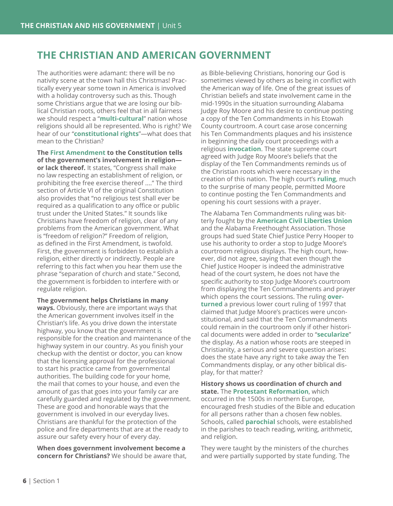### **THE CHRISTIAN AND AMERICAN GOVERNMENT**

The authorities were adamant: there will be no nativity scene at the town hall this Christmas! Practically every year some town in America is involved with a holiday controversy such as this. Though some Christians argue that we are losing our biblical Christian roots, others feel that in all fairness we should respect a "**multi-cultural**" nation whose religions should all be represented. Who is right? We hear of our "**constitutional rights**"—what does that mean to the Christian?

**The First Amendment to the Constitution tells of the government's involvement in religion or lack thereof.** It states, "Congress shall make no law respecting an establishment of religion, or prohibiting the free exercise thereof ...." The third section of Article VI of the original Constitution also provides that "no religious test shall ever be required as a qualification to any office or public trust under the United States." It sounds like Christians have freedom of religion, clear of any problems from the American government. What is "freedom of religion?" Freedom of religion, as defined in the First Amendment, is twofold. First, the government is forbidden to establish a religion, either directly or indirectly. People are referring to this fact when you hear them use the phrase "separation of church and state." Second, the government is forbidden to interfere with or regulate religion.

**The government helps Christians in many ways.** Obviously, there are important ways that the American government involves itself in the Christian's life. As you drive down the interstate highway, you know that the government is responsible for the creation and maintenance of the highway system in our country. As you finish your checkup with the dentist or doctor, you can know that the licensing approval for the professional to start his practice came from governmental authorities. The building code for your home, the mail that comes to your house, and even the amount of gas that goes into your family car are carefully guarded and regulated by the government. These are good and honorable ways that the government is involved in our everyday lives. Christians are thankful for the protection of the police and fire departments that are at the ready to assure our safety every hour of every day.

**When does government involvement become a concern for Christians?** We should be aware that, as Bible-believing Christians, honoring our God is sometimes viewed by others as being in conflict with the American way of life. One of the great issues of Christian beliefs and state involvement came in the mid-1990s in the situation surrounding Alabama Judge Roy Moore and his desire to continue posting a copy of the Ten Commandments in his Etowah County courtroom. A court case arose concerning his Ten Commandments plaques and his insistence in beginning the daily court proceedings with a religious **invocation**. The state supreme court agreed with Judge Roy Moore's beliefs that the display of the Ten Commandments reminds us of the Christian roots which were necessary in the creation of this nation. The high court's **ruling**, much to the surprise of many people, permitted Moore to continue posting the Ten Commandments and opening his court sessions with a prayer.

The Alabama Ten Commandments ruling was bitterly fought by the **American Civil Liberties Union** and the Alabama Freethought Association. Those groups had sued State Chief Justice Perry Hooper to use his authority to order a stop to Judge Moore's courtroom religious displays. The high court, however, did not agree, saying that even though the Chief Justice Hooper is indeed the administrative head of the court system, he does not have the specific authority to stop Judge Moore's courtroom from displaying the Ten Commandments and prayer which opens the court sessions. The ruling **overturned** a previous lower court ruling of 1997 that claimed that Judge Moore's practices were unconstitutional, and said that the Ten Commandments could remain in the courtroom only if other historical documents were added in order to "**secularize**" the display. As a nation whose roots are steeped in Christianity, a serious and severe question arises: does the state have any right to take away the Ten Commandments display, or any other biblical display, for that matter?

**History shows us coordination of church and state.** The **Protestant Reformation**, which occurred in the 1500s in northern Europe, encouraged fresh studies of the Bible and education for all persons rather than a chosen few nobles. Schools, called **parochial** schools, were established in the parishes to teach reading, writing, arithmetic, and religion.

They were taught by the ministers of the churches and were partially supported by state funding. The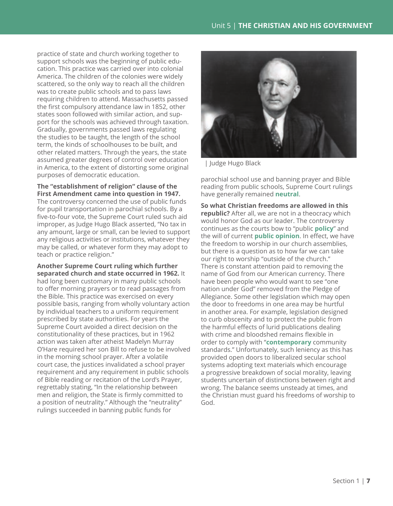practice of state and church working together to support schools was the beginning of public education. This practice was carried over into colonial America. The children of the colonies were widely scattered, so the only way to reach all the children was to create public schools and to pass laws requiring children to attend. Massachusetts passed the first compulsory attendance law in 1852, other states soon followed with similar action, and support for the schools was achieved through taxation. Gradually, governments passed laws regulating the studies to be taught, the length of the school term, the kinds of schoolhouses to be built, and other related matters. Through the years, the state assumed greater degrees of control over education in America, to the extent of distorting some original purposes of democratic education.

### **The "establishment of religion" clause of the First Amendment came into question in 1947.**

The controversy concerned the use of public funds for pupil transportation in parochial schools. By a five-to-four vote, the Supreme Court ruled such aid improper, as Judge Hugo Black asserted, "No tax in any amount, large or small, can be levied to support any religious activities or institutions, whatever they may be called, or whatever form they may adopt to teach or practice religion."

**Another Supreme Court ruling which further separated church and state occurred in 1962.** It had long been customary in many public schools to offer morning prayers or to read passages from the Bible. This practice was exercised on every possible basis, ranging from wholly voluntary action by individual teachers to a uniform requirement prescribed by state authorities. For years the Supreme Court avoided a direct decision on the constitutionality of these practices, but in 1962 action was taken after atheist Madelyn Murray O'Hare required her son Bill to refuse to be involved in the morning school prayer. After a volatile court case, the justices invalidated a school prayer requirement and any requirement in public schools of Bible reading or recitation of the Lord's Prayer, regrettably stating, "In the relationship between men and religion, the State is firmly committed to a position of neutrality." Although the "neutrality" rulings succeeded in banning public funds for



| Judge Hugo Black

parochial school use and banning prayer and Bible reading from public schools, Supreme Court rulings have generally remained **neutral**.

**So what Christian freedoms are allowed in this republic?** After all, we are not in a theocracy which would honor God as our leader. The controversy continues as the courts bow to "public **policy**" and the will of current **public opinion**. In effect, we have the freedom to worship in our church assemblies, but there is a question as to how far we can take our right to worship "outside of the church." There is constant attention paid to removing the name of God from our American currency. There have been people who would want to see "one nation under God" removed from the Pledge of Allegiance. Some other legislation which may open the door to freedoms in one area may be hurtful in another area. For example, legislation designed to curb obscenity and to protect the public from the harmful effects of lurid publications dealing with crime and bloodshed remains flexible in order to comply with "**contemporary** community standards." Unfortunately, such leniency as this has provided open doors to liberalized secular school systems adopting text materials which encourage a progressive breakdown of social morality, leaving students uncertain of distinctions between right and wrong. The balance seems unsteady at times, and the Christian must guard his freedoms of worship to God.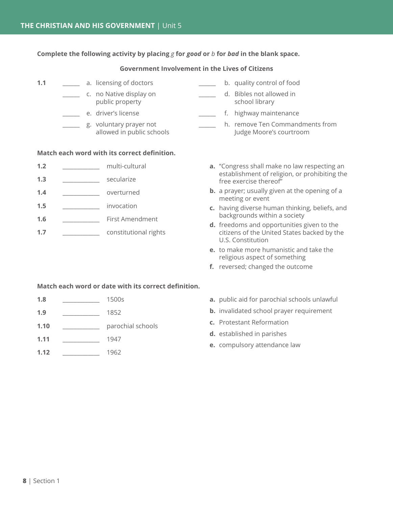**Complete the following activity by placing** *g* **for** *good* **or** *b* **for** *bad* **in the blank space.**

### **Government Involvement in the Lives of Citizens**

- **1.1 1.1 1.1 1.1 1.1 1.1 1.1 1.1 1.1 1.1 1.1 1.1 1.1 1.1 1.1 1.1 1.1 1.1 1.1 1.1 1.1 1.1 1.1 1.1 1.1 1.1 1.1 1.1 1.1 1.1 1.1 1.1 1.1 1.1 1.1 1.1 1.1** \_\_\_\_\_\_ c. no Native display on \_\_\_\_\_\_ d. Bibles not allowed in public property example and the school library \_\_\_\_\_\_ e. driver's license \_\_\_\_\_\_ f. highway maintenance \_\_\_\_\_\_ g. voluntary prayer not \_\_\_\_\_\_ h. remove Ten Commandments from allowed in public schools Judge Moore's courtroom **Match each word with its correct definition. 1.2** multi-cultural **1.3** \_\_\_\_\_\_\_\_\_\_\_\_\_ secularize 1.4 **and overturned a.** "Congress shall make no law respecting an establishment of religion, or prohibiting the free exercise thereof" **b.** a prayer; usually given at the opening of a meeting or event
	- **c.** having diverse human thinking, beliefs, and backgrounds within a society
	- **d.** freedoms and opportunities given to the citizens of the United States backed by the U.S. Constitution
	- **e.** to make more humanistic and take the religious aspect of something
	- **f.** reversed; changed the outcome

### **Match each word or date with its correct definition.**

**1.8** \_\_\_\_\_\_\_\_\_\_\_\_\_ 1500s

**1.5** \_\_\_\_\_\_\_\_\_\_\_\_\_ invocation

**1.6** \_\_\_\_\_\_\_\_\_\_\_\_\_ First Amendment

**1.7** \_\_\_\_\_\_\_\_\_\_\_\_\_ constitutional rights

- **1.9** \_\_\_\_\_\_\_\_\_\_\_\_\_ 1852
- **1.10** \_\_\_\_\_\_\_\_\_\_\_\_\_ parochial schools
- **1.11** \_\_\_\_\_\_\_\_\_\_\_\_\_ 1947
- **1.12** \_\_\_\_\_\_\_\_\_\_\_\_\_ 1962
- **a.** public aid for parochial schools unlawful
- **b.** invalidated school prayer requirement
- **c.** Protestant Reformation
- **d.** established in parishes
- **e.** compulsory attendance law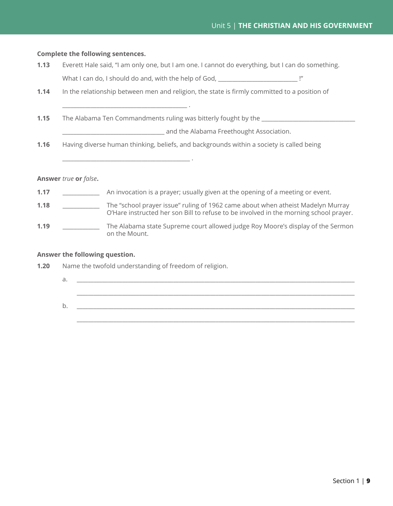### **Complete the following sentences.**

- **1.13** Everett Hale said, "I am only one, but I am one. I cannot do everything, but I can do something. What I can do, I should do and, with the help of God, \_\_\_\_\_\_\_\_\_\_\_\_\_\_\_\_\_\_\_\_\_\_\_\_\_\_
- **1.14** In the relationship between men and religion, the state is firmly committed to a position of
- **1.15** The Alabama Ten Commandments ruling was bitterly fought by the

\_\_\_\_\_\_\_\_\_\_\_\_\_\_\_\_\_\_\_\_\_\_\_\_\_\_\_\_\_\_\_\_\_\_\_\_ and the Alabama Freethought Association.

**1.16** Having diverse human thinking, beliefs, and backgrounds within a society is called being

### **Answer** *true* **or** *false***.**

- **1.17 1.17 An invocation is a prayer; usually given at the opening of a meeting or event.**
- **1.18** \_\_\_\_\_\_\_\_\_\_\_\_\_ The "school prayer issue" ruling of 1962 came about when atheist Madelyn Murray O'Hare instructed her son Bill to refuse to be involved in the morning school prayer.
- **1.19** \_\_\_\_\_\_\_\_\_\_\_\_\_ The Alabama state Supreme court allowed judge Roy Moore's display of the Sermon on the Mount.

### **Answer the following question.**

**1.20** Name the twofold understanding of freedom of religion.

\_\_\_\_\_\_\_\_\_\_\_\_\_\_\_\_\_\_\_\_\_\_\_\_\_\_\_\_\_\_\_\_\_\_\_\_\_\_\_\_\_\_\_\_ .

\_\_\_\_\_\_\_\_\_\_\_\_\_\_\_\_\_\_\_\_\_\_\_\_\_\_\_\_\_\_\_\_\_\_\_\_\_\_\_\_\_\_\_\_\_ .

- a. \_\_\_\_\_\_\_\_\_\_\_\_\_\_\_\_\_\_\_\_\_\_\_\_\_\_\_\_\_\_\_\_\_\_\_\_\_\_\_\_\_\_\_\_\_\_\_\_\_\_\_\_\_\_\_\_\_\_\_\_\_\_\_\_\_\_\_\_\_\_\_\_\_\_\_\_\_\_\_\_\_\_\_\_\_\_\_\_\_\_\_\_\_\_\_\_\_\_  $\_$  ,  $\_$  ,  $\_$  ,  $\_$  ,  $\_$  ,  $\_$  ,  $\_$  ,  $\_$  ,  $\_$  ,  $\_$  ,  $\_$  ,  $\_$  ,  $\_$  ,  $\_$  ,  $\_$  ,  $\_$  ,  $\_$  ,  $\_$  ,  $\_$  ,  $\_$  ,  $\_$  ,  $\_$  ,  $\_$  ,  $\_$  ,  $\_$  ,  $\_$  ,  $\_$  ,  $\_$  ,  $\_$  ,  $\_$  ,  $\_$  ,  $\_$  ,  $\_$  ,  $\_$  ,  $\_$  ,  $\_$  ,  $\_$  ,
- b. \_\_\_\_\_\_\_\_\_\_\_\_\_\_\_\_\_\_\_\_\_\_\_\_\_\_\_\_\_\_\_\_\_\_\_\_\_\_\_\_\_\_\_\_\_\_\_\_\_\_\_\_\_\_\_\_\_\_\_\_\_\_\_\_\_\_\_\_\_\_\_\_\_\_\_\_\_\_\_\_\_\_\_\_\_\_\_\_\_\_\_\_\_\_\_\_\_\_  $\_$  ,  $\_$  ,  $\_$  ,  $\_$  ,  $\_$  ,  $\_$  ,  $\_$  ,  $\_$  ,  $\_$  ,  $\_$  ,  $\_$  ,  $\_$  ,  $\_$  ,  $\_$  ,  $\_$  ,  $\_$  ,  $\_$  ,  $\_$  ,  $\_$  ,  $\_$  ,  $\_$  ,  $\_$  ,  $\_$  ,  $\_$  ,  $\_$  ,  $\_$  ,  $\_$  ,  $\_$  ,  $\_$  ,  $\_$  ,  $\_$  ,  $\_$  ,  $\_$  ,  $\_$  ,  $\_$  ,  $\_$  ,  $\_$  ,